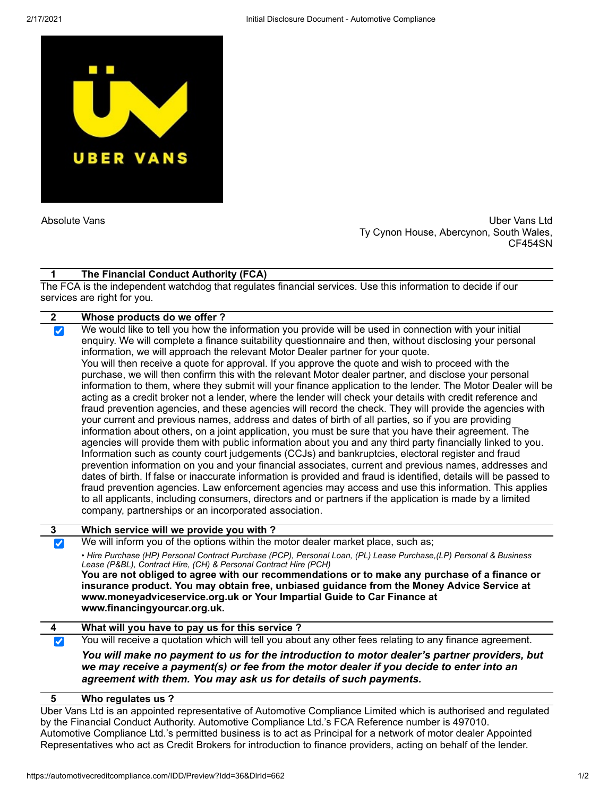

Absolute Vans Uber Vans Ltd Ty Cynon House, Abercynon, South Wales, CF454SN

## **The Financial Conduct Authority (FCA) 1**

The FCA is the independent watchdog that regulates financial services. Use this information to decide if our services are right for you.

| $\mathbf{2}$                 | Whose products do we offer?                                                                                                                                                                                                                                                                                                                                                                                                                                                                                                                                                                                                                                                                                                                                                                                                                                                                                                                                                                                                                                                                                                                                                                                                                                                                                                                                                                                                                                                                                                                                                                                                                                                                                                                                                                                      |
|------------------------------|------------------------------------------------------------------------------------------------------------------------------------------------------------------------------------------------------------------------------------------------------------------------------------------------------------------------------------------------------------------------------------------------------------------------------------------------------------------------------------------------------------------------------------------------------------------------------------------------------------------------------------------------------------------------------------------------------------------------------------------------------------------------------------------------------------------------------------------------------------------------------------------------------------------------------------------------------------------------------------------------------------------------------------------------------------------------------------------------------------------------------------------------------------------------------------------------------------------------------------------------------------------------------------------------------------------------------------------------------------------------------------------------------------------------------------------------------------------------------------------------------------------------------------------------------------------------------------------------------------------------------------------------------------------------------------------------------------------------------------------------------------------------------------------------------------------|
| $\vert\bm{\mathcal{J}}\vert$ | We would like to tell you how the information you provide will be used in connection with your initial<br>enquiry. We will complete a finance suitability questionnaire and then, without disclosing your personal<br>information, we will approach the relevant Motor Dealer partner for your quote.<br>You will then receive a quote for approval. If you approve the quote and wish to proceed with the<br>purchase, we will then confirm this with the relevant Motor dealer partner, and disclose your personal<br>information to them, where they submit will your finance application to the lender. The Motor Dealer will be<br>acting as a credit broker not a lender, where the lender will check your details with credit reference and<br>fraud prevention agencies, and these agencies will record the check. They will provide the agencies with<br>your current and previous names, address and dates of birth of all parties, so if you are providing<br>information about others, on a joint application, you must be sure that you have their agreement. The<br>agencies will provide them with public information about you and any third party financially linked to you.<br>Information such as county court judgements (CCJs) and bankruptcies, electoral register and fraud<br>prevention information on you and your financial associates, current and previous names, addresses and<br>dates of birth. If false or inaccurate information is provided and fraud is identified, details will be passed to<br>fraud prevention agencies. Law enforcement agencies may access and use this information. This applies<br>to all applicants, including consumers, directors and or partners if the application is made by a limited<br>company, partnerships or an incorporated association. |
| $\mathbf{3}$                 | Which service will we provide you with?                                                                                                                                                                                                                                                                                                                                                                                                                                                                                                                                                                                                                                                                                                                                                                                                                                                                                                                                                                                                                                                                                                                                                                                                                                                                                                                                                                                                                                                                                                                                                                                                                                                                                                                                                                          |
| $\blacktriangledown$         | We will inform you of the options within the motor dealer market place, such as;                                                                                                                                                                                                                                                                                                                                                                                                                                                                                                                                                                                                                                                                                                                                                                                                                                                                                                                                                                                                                                                                                                                                                                                                                                                                                                                                                                                                                                                                                                                                                                                                                                                                                                                                 |
|                              | • Hire Purchase (HP) Personal Contract Purchase (PCP), Personal Loan, (PL) Lease Purchase, (LP) Personal & Business<br>Lease (P&BL), Contract Hire, (CH) & Personal Contract Hire (PCH)                                                                                                                                                                                                                                                                                                                                                                                                                                                                                                                                                                                                                                                                                                                                                                                                                                                                                                                                                                                                                                                                                                                                                                                                                                                                                                                                                                                                                                                                                                                                                                                                                          |
|                              | You are not obliged to agree with our recommendations or to make any purchase of a finance or<br>insurance product. You may obtain free, unbiased guidance from the Money Advice Service at<br>www.moneyadviceservice.org.uk or Your Impartial Guide to Car Finance at<br>www.financingyourcar.org.uk.                                                                                                                                                                                                                                                                                                                                                                                                                                                                                                                                                                                                                                                                                                                                                                                                                                                                                                                                                                                                                                                                                                                                                                                                                                                                                                                                                                                                                                                                                                           |
| 4                            | What will you have to pay us for this service?                                                                                                                                                                                                                                                                                                                                                                                                                                                                                                                                                                                                                                                                                                                                                                                                                                                                                                                                                                                                                                                                                                                                                                                                                                                                                                                                                                                                                                                                                                                                                                                                                                                                                                                                                                   |
| $ \blacktriangledown $       | You will receive a quotation which will tell you about any other fees relating to any finance agreement.                                                                                                                                                                                                                                                                                                                                                                                                                                                                                                                                                                                                                                                                                                                                                                                                                                                                                                                                                                                                                                                                                                                                                                                                                                                                                                                                                                                                                                                                                                                                                                                                                                                                                                         |
|                              | You will make no payment to us for the introduction to motor dealer's partner providers, but<br>we may receive a payment(s) or fee from the motor dealer if you decide to enter into an<br>agreement with them. You may ask us for details of such payments.                                                                                                                                                                                                                                                                                                                                                                                                                                                                                                                                                                                                                                                                                                                                                                                                                                                                                                                                                                                                                                                                                                                                                                                                                                                                                                                                                                                                                                                                                                                                                     |
|                              |                                                                                                                                                                                                                                                                                                                                                                                                                                                                                                                                                                                                                                                                                                                                                                                                                                                                                                                                                                                                                                                                                                                                                                                                                                                                                                                                                                                                                                                                                                                                                                                                                                                                                                                                                                                                                  |

## **Who regulates us ? 5**

Uber Vans Ltd is an appointed representative of Automotive Compliance Limited which is authorised and regulated by the Financial Conduct Authority. Automotive Compliance Ltd.'s FCA Reference number is 497010. Automotive Compliance Ltd.'s permitted business is to act as Principal for a network of motor dealer Appointed Representatives who act as Credit Brokers for introduction to finance providers, acting on behalf of the lender.